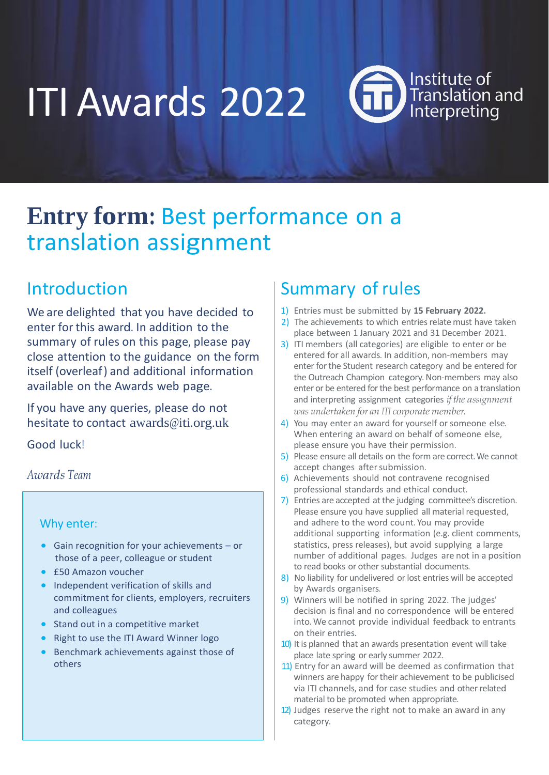ITI Awards 2022

Institute of Translation<br>Interpreting

# **Entry form:** Best performance on a translation assignment

## Introduction

We are delighted that you have decided to enter for this award. In addition to the summary of rules on this page, please pay close attention to the guidance on the form itself (overleaf) and additional information available on the Awards web page.

If you have any queries, please do not hesitate to contact [awards@iti.org.uk](mailto:awards@iti.org.uk)

Good luck!

### *Awards Team*

#### Why enter:

- Gain recognition for your achievements or those of a peer, colleague or student
- £50 Amazon voucher
- Independent verification of skills and commitment for clients, employers, recruiters and colleagues
- Stand out in a competitive market
- Right to use the ITI Award Winner logo
- Benchmark achievements against those of others

# Summary of rules

- 1) Entries must be submitted by **15 February 2022.**
- 2) The achievements to which entries relate must have taken place between 1 January 2021 and 31 December 2021.
- 3) ITI members (all categories) are eligible to enter or be entered for all awards. In addition, non-members may enter for the Student research category and be entered for the Outreach Champion category. Non-members may also enter or be entered for the best performance on a translation and interpreting assignment categories *if the assignment was undertaken for an ITI corporate member.*
- 4) You may enter an award for yourself or someone else. When entering an award on behalf of someone else, please ensure you have their permission.
- 5) Please ensure all details on the form are correct. We cannot accept changes after submission.
- 6) Achievements should not contravene recognised professional standards and ethical conduct.
- 7) Entries are accepted at the judging committee's discretion. Please ensure you have supplied all material requested, and adhere to the word count. You may provide additional supporting information (e.g. client comments, statistics, press releases), but avoid supplying a large number of additional pages. Judges are not in a position to read books or other substantial documents.
- 8) No liability for undelivered or lost entries will be accepted by Awards organisers.
- 9) Winners will be notified in spring 2022. The judges' decision is final and no correspondence will be entered into. We cannot provide individual feedback to entrants on their entries.
- 10) It is planned that an awards presentation event will take place late spring or early summer 2022.
- 11) Entry for an award will be deemed as confirmation that winners are happy for their achievement to be publicised via ITI channels, and for case studies and other related material to be promoted when appropriate.
- 12) Judges reserve the right not to make an award in any category.